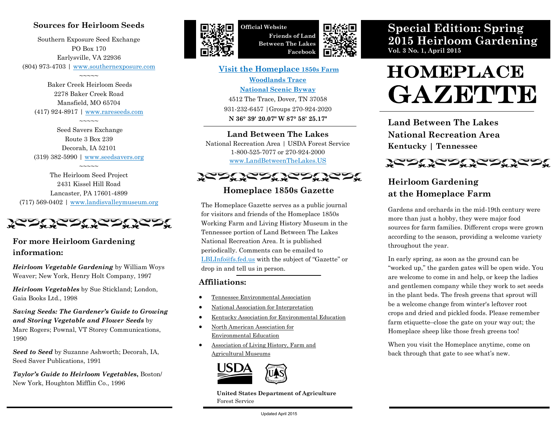## **Sources for Heirloom Seeds**

Southern Exposure Seed Exchange PO Box 170 Earlysville, VA 22936 (804) 973-4703 | [www.southernexposure.com](http://www.southernexposure.com/)

 $\sim$  $\sim$  $\sim$  $\sim$ 

Baker Creek Heirloom Seeds 2278 Baker Creek Road Mansfield, MO 65704 (417) 924-8917 | [www.rareseeds.com](http://www.rareseeds.com)

 $\sim\sim\sim\sim\sim$ 

Seed Savers Exchange Route 3 Box 239 Decorah, IA 52101 (319) 382-5990 | [www.seedsavers.org](http://www.seedsavers.org)

 $\sim$  $\sim$  $\sim$  $\sim$ The Heirloom Seed Project 2431 Kissel Hill Road Lancaster, PA 17601-4899 (717) 569-0402 | [www.landisvalleymuseum.org](http://www.landisvalleymuseum.org)

<u> JERU JERU JERU JERU </u>

## **For more Heirloom Gardening information:**

*Heirloom Vegetable Gardening* by William Woys Weaver; New York, Henry Holt Company, 1997

*Heirloom Vegetables* by Sue Stickland; London, Gaia Books Ltd., 1998

*Saving Seeds: The Gardener's Guide to Growing and Storing Vegetable and Flower Seeds* by Marc Rogers; Pownal, VT Storey Communications, 1990

*Seed to Seed* by Suzanne Ashworth; Decorah, IA, Seed Saver Publications, 1991

*Taylor's Guide to Heirloom Vegetables***,** Boston/ New York, Houghton Mifflin Co., 1996



**Official Website Friends of Land Between The Lakes Facebook**



**[Visit the Homeplace](http://www.landbetweenthelakes.us/seendo/attractions/homeplace) 1850s Farm [Woodlands Trace](http://www.fhwa.dot.gov/byways/byways/2345/)  [National Scenic Byway](http://www.fhwa.dot.gov/byways/byways/2345/)** 4512 The Trace, Dover, TN 37058 931-232-6457 |Groups 270-924-2020

**N 36° 39' 20.07" W 87° 58' 25.17"**

#### **Land Between The Lakes**

National Recreation Area | USDA Forest Service 1-800-525-7077 or 270-924-2000 [www.LandBetweenTheLakes.US](http://www.landbetweenthelakes.us)



#### **Homeplace 1850s Gazette**

The Homeplace Gazette serves as a public journal for visitors and friends of the Homeplace 1850s Working Farm and Living History Museum in the Tennessee portion of Land Between The Lakes National Recreation Area. It is published periodically. Comments can be emailed to [LBLInfo@fs.fed.us](mailto:lblinfo@fs.fed.us) with the subject of "Gazette" or drop in and tell us in person.

#### **Affiliations:**

- [Tennessee Environmental Association](http://eeintennessee.org/)
- [National Association for Interpretation](http://www.interpnet.com/)
- [Kentucky Association for Environmental Education](http://kaee.org/)
- [North American Association for](http://www.naaee.net/)  [Environmental Education](http://www.naaee.net/)
- [Association of Living History, Farm and](http://www.alhfam.org/)  [Agricultural Museums](http://www.alhfam.org/)



**United States Department of Agriculture** Forest Service

**Special Edition: Spring 2015 Heirloom Gardening Vol. 3 No. 1, April 2015**

# **HOMEPLACE** GAZETTE

**Land Between The Lakes National Recreation Area Kentucky | Tennessee**



## **Heirloom Gardening at the Homeplace Farm**

Gardens and orchards in the mid-19th century were more than just a hobby, they were major food sources for farm families. Different crops were grown according to the season, providing a welcome variety throughout the year.

In early spring, as soon as the ground can be "worked up," the garden gates will be open wide. You are welcome to come in and help, or keep the ladies and gentlemen company while they work to set seeds in the plant beds. The fresh greens that sprout will be a welcome change from winter's leftover root crops and dried and pickled foods. Please remember farm etiquette–close the gate on your way out; the Homeplace sheep like those fresh greens too!

When you visit the Homeplace anytime, come on back through that gate to see what's new.